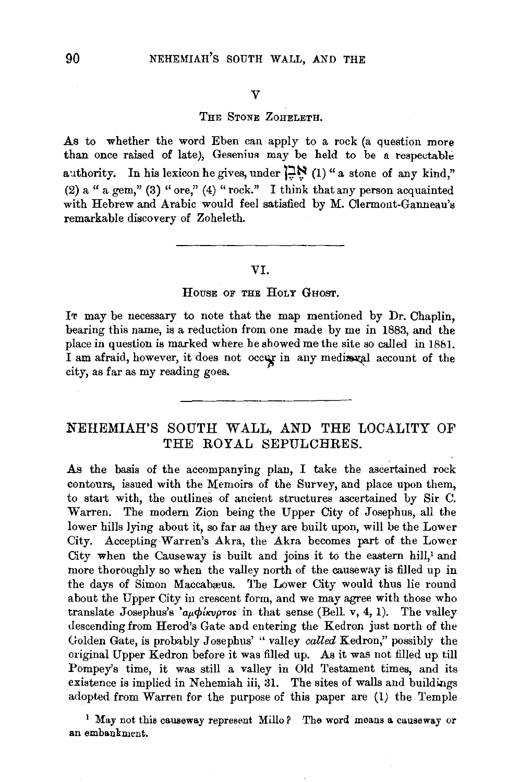#### THE STONE ZOHELETH.

As to whether the word Eben can apply to a rock (a question more than once raised of late), Gesenius may be held to be a respectable authority. In his lexicon he gives, under  $\sum_{n=1}^{\infty}$  (1) "a stone of any kind," (2) a " a gem," (3) "ore," (4) "rock." I think that any person acquainted with Hebrew and Arabic would feel satisfied by M. Clermont-Ganneau's remarkable discovery of Zoheleth.

#### VI.

#### HOUSE OF THE HOLY GHOST.

It may be necessary to note that the map mentioned by Dr. Chaplin, bearing this name, is a reduction from one made by me in 1883, and the place in question is marked where he showed me the site so called in 1881. I am afraid, however, it does not occur in any media val account of the city, as far as my reading goes.

## NEHEMIAH'S SOUTH WALL, AND THE LOCALITY OF THE ROYAL SEPULCHRES.

As the basis of the accompanying plan, I take the ascertained rock contours, issued with the Memoirs of the Survey, and place upon them, to start with, the outlines of ancient structures ascertained by Sir C. Warren. The modern Zion being the Upper City of Josephus, all the lower hills lying about it, so far as they are built upon, will be the Lower City. Accepting Warren's Akra, the Akra becomes part of the Lower City when the Causeway is built and joins it to the eastern hill,' and more thoroughly so when the valley north of the causeway is filled up in the days of Simon Maccabæus. The Lower City would thus lie round about the Upper City in crescent form, and we may agree with those who translate Josephus's  $a_{\mu}\phi'_{\mu\nu\rho\sigma\sigma}$  in that sense (Bell. v, 4, 1). The valley descending from Herod's Gate and entering the Kedron just north of the Golden Gate, is probably Josephns' "valley *called* Kedron," possibly the original Upper Kedron before it was filled up. As it was not filled up till Pompey's time, it was still a valley in Old Testament times, and its existence is implied in Nehemiah iii, 31. The sites of walls and buildings adopted from Warren for the purpose of this paper are (1) the Temple

<sup>1</sup> May not this causeway represent Millo? The word means a causeway or an embankment.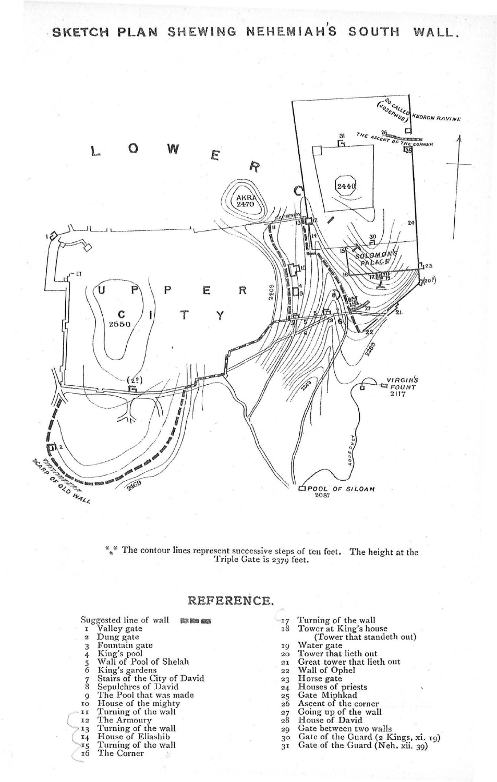*,*  **SKETCH PLAN SHEWING NEHEMIAHS SOUTH WALL.** 

•



 $*$  The contour lines represent successive steps of ten feet. The height at the Triple Gate is 2379 feet.

Suggested line of wall ~- 1 Valley gate 2 Dung gate 3 Fountain gate 4 King's pool 5 Wall of Pool of Shelah<br>6 King's gardens 6 King's gardens 7 Stairs of the City of David 8 Sepulchres of David 9 The Pool that was made Io House of the mighty<br>II Turning of the wall 12 The Armoury 13 Turning of the wall<br>14 House of Eliashib 15 Turning of the wall<br>16 The Corner The Corner

# . **REFERENCE .**

| 17             | Turning of the wall                 |  |
|----------------|-------------------------------------|--|
| 18             | Tower at King's house               |  |
|                | (Tower that standeth out)           |  |
| 19             | Water gate                          |  |
| 20             | Tower that lieth out                |  |
| 21             | Great tower that lieth out          |  |
| 22             | Wall of Ophel                       |  |
| 23             | Horse gate                          |  |
| 24             | Houses of priests                   |  |
| 25             | Gate Miphkad                        |  |
| 26             | Ascent of the corner                |  |
| 27             | Going up of the wall                |  |
| 28             | House of David                      |  |
| 29             | Gate between two walls              |  |
| 30             | Gate of the Guard (2 Kings, xi. 19) |  |
| 3 <sub>1</sub> | Gate of the Guard (Neh. xii. 39)    |  |
|                |                                     |  |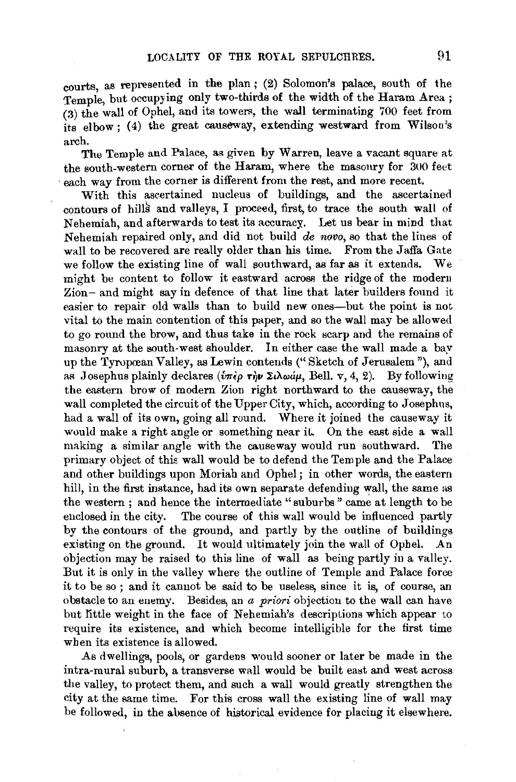courts, as represented in the plan; (2) Solomon's palace, south of the Temple, but occupying only two-thirds of the width of the Haram Area ;  $(3)$  the wall of Ophel, and its towers, the wall terminating 700 feet from its elbow; (4) the great causeway, extending westward from Wilson's arch.

The Temple and Palace, as given by Warren, leave a vacant square at the south-western corner of the Haram, where the masonry for 300 feet each way from the corner is different from the rest, and more recent.

With this ascertained nucleus of buildings, and the ascertained contours of hills and valleys, I proceed, first, to trace the south wall of Nehemiah, and afterwards to test its accuracy. Let us bear in mind that Nehemiah repaired only, and did not build *de novo,* so that the lines of wall to be recovered are really older than his time. From the Jaffa Gate we follow the existing line of wall southward, as far as it extends. We might be content to follow it eastward across the ridge of the modern Zion- and might say in defence of that line that later builders found it easier to repair old walls than to build new ones-but the point is not vital to the main contention of this paper, and so the wall may be allowed to go round the brow, and thus take in the rock scarp and the remains of masonry at the south-west shoulder. In either case the wall made a bay up the Tyropœan Valley, as Lewin contends ("Sketch of Jerusalem"), and as Josephus plainly declares ( $\hat{v}$ *m* $\hat{\epsilon}$  $\rho$  **r** $\hat{v}$  $\rho$  **Σ** $i\lambda$ ω $\hat{\mu}$ , Bell. v, 4, 2). By following the eastern brow of modern Zion right northward to the causeway, the wall completed the circuit of the Upper City, which, according to Josephus, had a wall of its own, going all round. Where it joined the causeway it would make a right angle or something near it. On the east side a wall making a similar angle with the causeway would run southward. The primary object of this wall would be to defend the Temple and the Palace and other buildings upon Moriah and Ophel ; in other words, the eastern hill, in the first instance, had its own separate defending wall, the same as the western ; and hence the intermediate "suburbs" came at length to be enclosed in the city. The course of this wall would be influenced partly by the contours of the ground, and partly by the outline of buildings existing on the ground. It would ultimately join the wall of Ophel. An objection may be raised to this line of wall as being partly in a valley. But it is only in the valley where the outline of Temple and Palace force it to be so ; and it cannot be said to be useless, since it is, of course, an obstacle to an enemy. Besides, an *a priori* objection to the wall can have but little weight in the face of Nehemiah's descriptions which appear to require its existence, and which become intelligible for the first time when its existence is allowed.

As dwellings, pools, or gardens would sooner or later be made in the intra-mural suburb, a transverse wall would be built east and west across the valley, to protect them, and such a wall would greatly strengthen the city at the same time. For this cross wall the existing line of wall may be followed, in the absence of historical evidence for placing it elsewhere.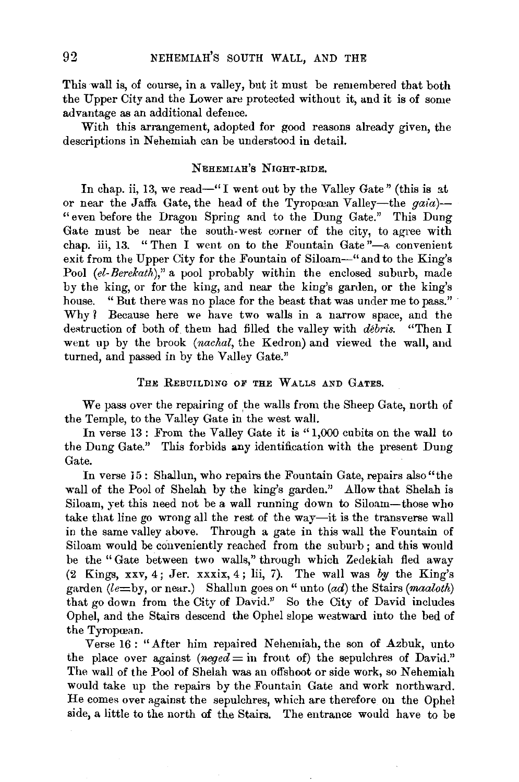This wall is, of course, in a valley, but it must be remembered that both the Upper City and the Lower are protected without it, and it is of some advantage as an additional defence.

With this arrangement, adopted for good reasons already given, the descriptions in Nehemiah can be understood in detail.

## NEHEMIAH'S NIGHT-RIDE,

In chap. ii, 13, we read—" I went out by the Valley Gate" (this is at or near the Jaffa Gate, the head of the Tyropœan Valley-the *gaia*)-" even before the Dragon Spring and to the Dung Gate." This Dung Gate must be near the south-west corner of the city, to agree with chap. iii, 13. "Then I went on to the Fountain Gate"-a convenient exit from the Upper City for the Fountain of Siloam-" and to the King's Pool (el-Berekath)," a pool probably within the enclosed suburb, made by the king, or for the king, and near the king's garden, or the king's house. "But there was no place for the beast that was under me to pass." Why? Because here we have two walls in a narrow space, and the destruction of both of them had filled the valley with *debris.* "Then I went up by the brook *(nachal,* the Kedron) and viewed the wall, and turned, and passed in by the Valley Gate."

## THE REBUILDING OF THE WALLS AND GATES.

We pass over the repairing of the walls from the Sheep Gate, north of the Temple, to the Valley Gate in the west wall.

In verse 13 : From the Valley Gate it is "1,000 cubits on the wall to the Dung Gate." This forbids any identification with the present Dung Gate.

In verse 15: Shallun, who repairs the Fountain Gate, repairs also "the wall of the Pool of Shelah by the king's garden." Allow that Shelah is Siloam, yet this need not be a wall running down to Siloam-those who take that line go wrong all the rest of the way-it is the transverse wall in the same valley above. Through a gate in this wall the Fountain of Siloam would be conveniently reached from the suburb; and this would be the "Gate between two walls," through which Zedekiah fled away (2 Kings, xxv, 4; Jer. xxxix, 4; lii, 7). The wall was  $by$  the King's garden *(le=* by, or near.) Shallun goes on" unto *(ad)* the Stairs *(maaloth)*  that go down from the City of David." So the City of David includes Ophel, and the Stairs descend the Ophel slope westward into the bed of the Tyropœan.

Verse 16: "After him repaired Nehemiah, the son of Azbuk, unto the place over against  $(neged = \text{in front of})$  the sepulchres of David." The wall of the Pool of Shelah was an offshoot or side work, so Nehemiah would take up the repairs by the Fountain Gate and work northward. He comes over against the sepulchres, which are therefore on the Ophel side, a little to the north of the Stairs. The entrance would have to be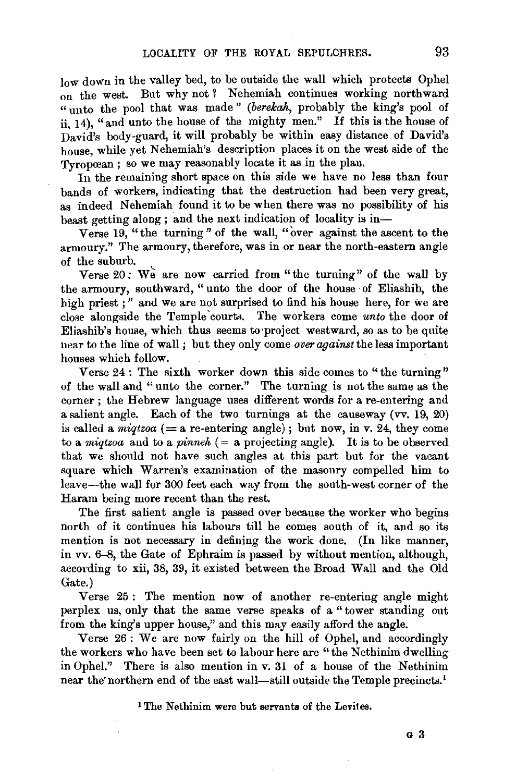low down in the valley bed, to be outside the wall which protects Ophel on the west. But why not ? Nehemiah continues working northward "unto the pool that was made" *(berekah, probably the king's pool of* ii, 14), "and unto the house of the mighty men." If this is the house of David's body-guard, it will probably be within easy distance of David's house, while yet Nehemiah's description places it on the west side of the Tyropcean; so we may reasonably locate it as in the plan.

In the remaining short space on this side we have no less than four bands of workers, indicating that the destruction bad been very great, as indeed Nehemiah found it to be when there was no possibility of his beast getting along ; and the next indication of locality is in-

Verse 19, "the turning" of the wall, "over against the ascent to the armoury." The armoury, therefore, was in or near the north-eastern angle of the suburb.

Verse  $20$ : We are now carried from "the turning" of the wall by the armoury, southward, " unto the door of the house of Eliashib, the high priest ;" and we are not surprised to find his house here, for we are close alongside the Temple courts. The workers come *unto* the door of Eliashib's house, which thus seems to'project westward, so as to he quite near to the line of wall ; but they only come *over against* the less important houses which follow.

Verse 24 : The sixth worker down this side comes to "the turning" of the wall and " unto the corner." The turning is not the same as the corner; the Hebrew language uses different words for a re-entering and a salient angle. Each of the two turnings at the causeway (vv. 19, 20) is called a *migtzoa*  $(=a$  re-entering angle); but now, in v. 24, they come to a *miqtzoa* and to a *pinneh*  $(=$  a projecting angle). It is to be observed that we should not have such angles at this part but for the vacant square which Warren's examination of the masonry compelled him to leave-the wall for 300 feet each way from the south-west corner of the Haram being more recent than the rest.

The first salient angle is passed over because the worker who begins north of it continues his labours till he comes south of it, and so its mention is not necessary in defining the work done. (In like manner, in vv. 6-8, the Gate of Ephraim is passed by without mention, although, according to xii, 38, 39, it existed between the Broad Wall and the Old Gate.)

Verse 25 : The mention now of another re-entering angle might perplex us, only that the same verse speaks of a "tower standing out from the king's upper house," and this may easily afford the angle.

Verse 26 : We are now fairly on the hill of Ophel, and accordingly the workers who have been set to labour here are "the Nethinim dwelling in Ophel.'' There is also mention in v. 31 of a house of the Nethinim near the northern end of the east wall-still outside the Temple precincts.<sup>1</sup>

<sup>1</sup> The Nethinim were but servants of the Levites.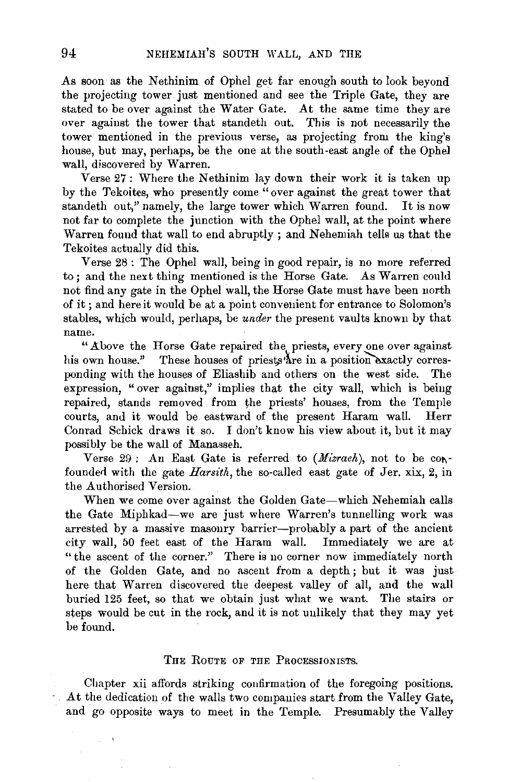As soon as the Nethinim of Ophel get far enough south to look beyond the projecting tower just mentioned and see the Triple Gate, they are stated to be over against the Water Gate. At the same time they are over against the tower that standeth out. This is not necessarily the tower mentioned in the previous verse, as projecting from the king's house, but may, perhaps, be the one at the south-east angle of the Ophel wall, discovered by Warren.

Verse 27: Where the Nethinim lay down their work it is taken up by the Tekoites, who presently come "over against the great tower that standeth out," namely, the large tower which Warren found. It is now not far to complete the junction with the Ophel wall, at the point where Warren found that wall to end abruptly; and Nehemiah tells us that the Tekoites actually did this.

Verse 28 : The Ophel wall, being in good repair, is no more referred to ; and the next thing mentioned is the Horse Gate. As Warren could not find any gate in the Ophel wall, the Horse Gate must have been north of it; and here it would be at a point convenient for entrance to Solomon's stables, which would, perhaps, be *under* the present vaults known by that name.

"Above the Horse Gate repaired the priests, every one over against his own house." These houses of priests are in a position exactly corresponding with the houses of Eliashib and others on the west side. The expression, "over against," implies that the city wall, which is being repaired, stands removed from the priests' houses, from the Temple courts, and it would be. eastward of the present Haram wall. Herr Conrad Schick draws it so. I don't know his view about it, but it may possibly be the wall of Manasseh.

Verse  $29:$  An East Gate is referred to *(Mizrach)*, not to be confounded with the gate *Harsith*, the so-called east gate of Jer. xix, 2, in the Authorised Version.

When we come over against the Golden Gate-which Nehemiah calls the Gate Miphkad-we are just where Warren's tunnelling work was arrested by a massive masonry barrier-probably a part of the ancient city wall, 50 feet east of the Haram wall. Immediately we are at "the ascent of the corner." There is no corner now immediately north of the Golden Gate, and no ascent from a depth ; but it was just here that Warren discovered the deepest valley of all, and the wall buried 125 feet, so that we obtain just what we want. The stairs or steps would be cut in the rock, and it is not uulikely that they may yet be found.

#### THE RoUTE OF THE PROCESSIONISTS.

Chapter xii affords striking coufirmation of the foregoing positions. At the dedication of the walls two companies start from the Valley Gate, and go opposite ways to meet in the Temple. Presumably the Valley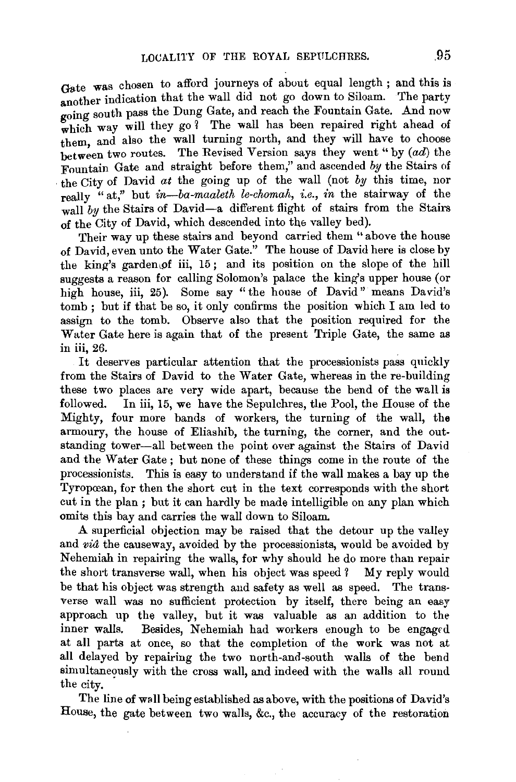Gate was chosen to afford journeys of about equal length ; and this is another indication that the wall did not go down to Siloam. The party going south pass the Dung Gate, and reach the Fountain Gate. And now which way will they go  $\tilde{i}$  The wall has been repaired right ahead of them, and also the wall turning north, and they will have to choose between two routes. The Revised Version says they went "by  $(ad)$  the Fountain Gate and straight before them," and ascended by the Stairs of . the City of David *at* the going up of the wall (not by this time, nor really "at," but *in-ba-maaleth le-chomah, i.e., in* the stairway of the wall by the Stairs of David-a different flight of stairs from the Stairs of the City of David, which descended into the valley bed).

Their way up these stairs and beyond carried them " above the house of David, even unto the Water Gate.'' The house of David here is close by the king's garden of iii,  $15$ ; and its position on the slope of the hill suggests a reason for calling Solomon's palace the king's upper house (or high house, iii, 25). Some say "the house of David" means David's tomb ; but if that be so, it only confirms the position which I am led to assign to the tomb. Observe also that the position required for the Water Gate here is again that of the present Triple Gate, the same as in iii, 26.

It deserves particular attention that the processionists pass quickly from the Stairs of David to the Water Gate, whereas in the re-building these two places are very wide apart, because the bend of the wall is followed. In iii, 15, we have the Sepulchres, the Pool, the House of the Mighty, four more bands of workers, the turning of the wall, the armoury, the house of Eliashib, the turning, the corner, and the outstanding tower-all between the point over against the Stairs of David and the Water Gate ; but none of these things come in the route of the processionists. This is easy to understand if the wall makes a bay up the Tyropœan, for then the short cut in the text corresponds with the short cut in the plan ; but it can hardly be made intelligible on any plan which omits this bay and carries the wall down to Siloam.

A superficial objection may be raised that the detour up the valley and *via* the causeway, avoided by the processionists, would be avoided by Nehemiah in repairing the walls, for why should he do more than repair the short transverse wall, when his object was speed ? My reply would be that his object was strength and safety as well as speed. The transverse wall was no sufficient protection by itself, there being an easy approach up the valley, but it was valuable as an addition to the inner walls. Besides, Nehemiah had workers enough to be engaged at all parts at once, so that the completion of the work was not at all delayed by repairing the two north-and-south walls of the bend simultaneously with the cross wall, and indeed with the walls all round the city.

The line of wall being established as above, with the positions of David's House, the gate between two walls, &c., the accuracy of the restoration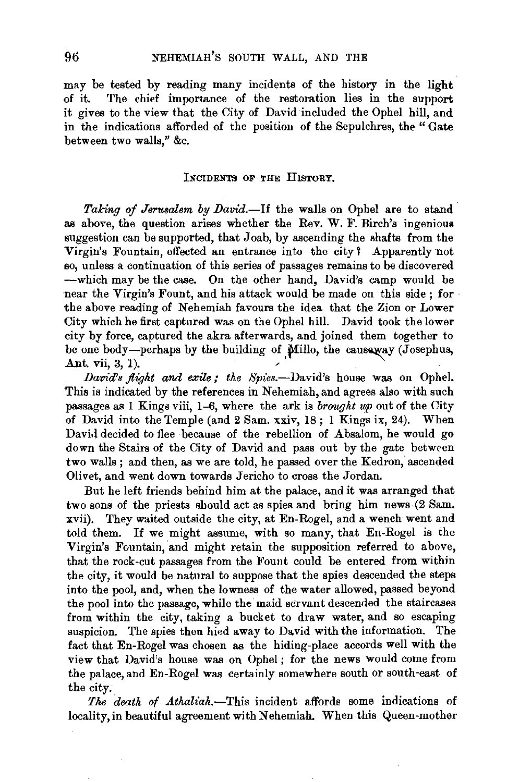may be tested by reading many incidents of the history in the light of it. The chief importance of the restoration lies in the support it gives to the view that the City of David included the Ophel hill, and in the indications afforded of the position of the Sepulchres, the "Gate between two walls," &c.

### INCIDENTS OF THE HISTORY.

Taking of Jerusalem by David.-If the walls on Ophel are to stand as above, the question arises whether the Rev. W. F. Birch's ingenious suggestion can be supported, that Joab, by ascending the shafts from the Virgin's Fountain, effected an entrance into the city 1 Apparently not so, unless a continuation of this series of passages remains to be discovered  $-\text{which may be the case.}$  On the other hand, David's camp would be near the Virgin's Fount, and his attack would be made on this side ; for the above reading of Nehemiah favours the idea that the Zion or Lower City which he first captured was on the Ophel hill. David took the lower city by force, captured the akra afterwards, and joined them together to be one body—perhaps by the building of  $\hat{\textbf{M}}$ illo, the causaway (Josephus, Ant. vii, 3, 1). <sup>J</sup>' •

*David's flight and exile; the Spies.*--David's house was on Ophel. This is indicated by the references in Nehemiah, and agrees also with such passages as 1 Kings viii, 1-6, where the ark is *brought up* out of the City of David into the Temple (and 2 Sam. xxiv, 18 ; 1 Kings ix, 24). When David decided to flee because of the rebellion of Absalom, he would go down the Stairs of the City of David and pass out by the gate between two walls; and then, as we are told, he passed over the Kedron; ascended Olivet, and went down towards Jericho to cross the Jordan.

But he left friends behind him at the palace, and it was arranged that two sons of the priests should act as spies and bring him news (2 Sam. xvii). They waited outside the city, at En-Rogel, and a wench went and told them. If we might assume, with so many, that En-Rogel is the Virgin's Fountain, and might retain the supposition referred to above, that the rock-cut passages from the Fount could be entered from within the city, it would be natural to suppose that the spies descended the steps into the pool, and, when the lowness of the water allowed, passed beyond the pool into the passage, while the maid servant descended the staircases from within the city, taking a bucket to draw water, and so escaping suspicion. The spies then hied away to David with the information. The fact that En-Rogel was chosen as the hiding-place accords well with the view that David's house was on Ophel ; for the news would come from the palace, and En-Rogel was certainly somewhere south or south-east of the city.

*The death of Athaliah.-This* incident affords some indications of locality, in beautiful agreement with Nehemiah. When this Queen-mother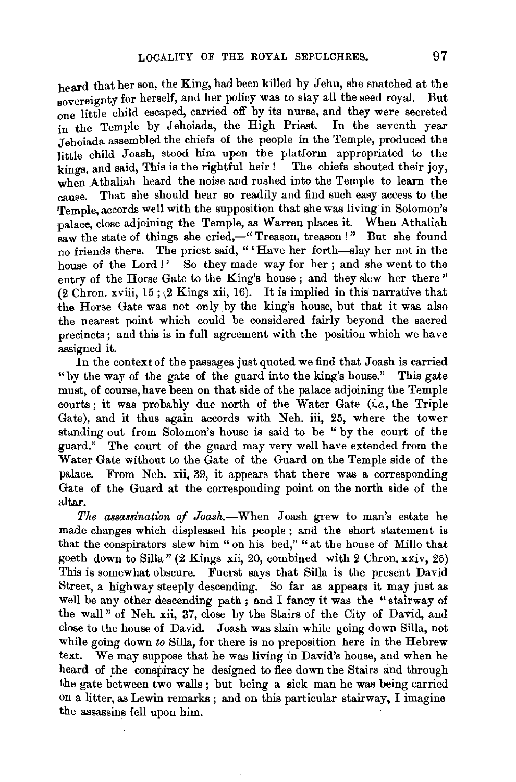heard that her son, the King, had been killed by Jehu, she snatched at the sovereignty for herself, and her policy was to slay all the seed royal. But one little child escaped, carried off by its nurse, and they were secreted in the Temple by Jehoiada, the High Priest. In the seventh year Jehoiada assembled the chiefs of the people in the Temple, produced the little child Joash, stood him upon the platform appropriated to the kings, and said, This is the rightful heir ! The chiefs shouted their joy, when Athaliah heard the noise and rushed into the Temple to learn the cause. That she should hear so readily and find such easy access to the Temple, accords well with the supposition that she was living in Solomon's palace, close adjoining the Temple, as Warren places it. When Athaliah saw the state of things she cried,—"Treason, treason!" But she found no friends there. The priest said, "'Have her forth--slay her not in the house of the Lord !' So they made way for her; and she went to the entry of the Horse Gate to the King's house ; and they slew her there " (2 Chron. xviii, 15;  $(2$  Kings xii, 16). It is implied in this narrative that the Horse Gate was not only by the king's house, but that it was also the nearest point which could be considered fairly beyond the sacred precincts; and this is in full agreement with the position which we have assigned it.

In the context of the passages just quoted we find that Joash is carried "by the way of the gate of the guard into the king's house." This gate must, of course, have been on that side of the palace adjoining the Temple courts; it was probably due north of the Water Gate  $(i.e., the Triple)$ Gate), and it thus again accords with Neh. iii, 25, where the tower standing out from Solomon's house is said to be " by the court of the guard." The court of the guard may very well have extended from the Water Gate without to the Gate of the Guard on the Temple side of the palace. From Neh. xii, 39, it appears that there was a corresponding Gate of the Guard at the corresponding point on the north side of the altar.

*The assassination of Joash.*-When Joash grew to man's estate he made changes which displeased his people; and the short statement is that the conspirators slew him " on his bed," "at the house of Millo that goeth down to Silla" (2 Kings xii, 20, combined with 2 Chron. xxiv, 25) This is somewhat obscure. Fuerst says that Silla is the present David Street, a highway steeply descending. So far as appears it may just as well be any other descending path ; and I fancy it was the "stairway of the wall" of Neh. xii, 37, close by the Stairs of the City of David, and close to the house of David. Joash was slain while going down Silla, not while going down *to* Silla, for there is no preposition here in the Hebrew text. We may suppose that he was living in David's house, and when he heard of the conspiracy he designed to flee down the Stairs and through the gate between two walls ; but being a sick man he was being carried on a litter, as Lewin remarks; and on this particular stairway, I imagine the assassins fell upon him.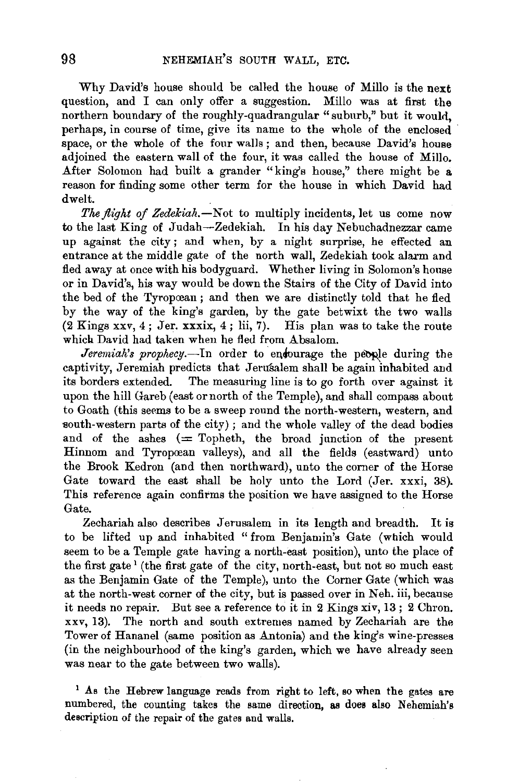Why David's house should be called the house of Millo is the next question, and I can only offer a suggestion. Millo was at first the northern boundary of the roughly-quadrangular "suburb," but it would, perhaps, in course of time, give its name to the whole of the enclosed space, or the whole of the four walls ; and then, because David's house adjoined the eastern wall of the four, it was called the house of Millo. After Solomon had built a grander "king's house," there might be a reason for finding some other term for the house in which David had dwelt.

*The flight of Zedekiah.-Not* to multiply incidents, let us come now to the last King of Judah-Zedekiah. In his day Nebuchadnezzar came up against the city ; and when, by a night surprise, he effected an entrance at the middle gate of the north wall, Zedekiah took alarm and fled away at once with his bodyguard. Whether living in Solomon's house or in David's, his way would be down the Stairs of the City of David into the bed of the Tyropcean ; and then we are distinctly told that he fled by the way of the king's garden, by the gate betwixt the two walls  $(2$  Kings xxv,  $4$ ; Jer. xxxix,  $4$ ; lii, 7). His plan was to take the route which David had taken when he fled from Absalom.

*Jeremiah's prophecy.*-In order to endourage the people during the captivity, Jeremiah predicts that JeruSalem shall be again inhabited and its borders extended. The measuring line is to go forth over against it upon the hill Gareb (east or north of the Temple), and shall compass about to Goath (this seems to be a sweep round the north-western, western, and south-western parts of the city); and the whole valley of the dead bodies and of the ashes  $(=$  Topheth, the broad junction of the present Hinnom and Tyropcean valleys), and all the fields (eastward) unto the Brook Kedron (and then northward), unto the corner of the Horse Gate toward the east shall be holy unto the Lord (Jer. xxxi, 38). This reference again confirms the position we have assigned to the Horse Gate.

Zechariah also describes Jerusalem in its length and breadth. It is to be lifted up and inhabited "from Benjamin's Gate (which would seem to be a Temple gate having a north-east position), unto the place of the first gate<sup>1</sup> (the first gate of the city, north-east, but not so much east as the Benjamin Gate of the Temple), unto the Corner Gate (which was at the north-west corner of the city, but is passed over in Neh. iii, because it needs no repair. But see a reference to it in 2 Kings xiv, 13 ; 2 Chron. xxv, 13). The north and south extremes named by Zechariah are the Tower of Hananel (same position as Antonia) and the king's wine-presses (in the neighbourhood of the king's garden, which we have already seen was near to the gate between two walls).

<sup>1</sup> As the Hebrew language reads from right to left, so when the gates are numbered, the counting takes the same direction, as does also Nehemiah's description of the repair of the gates and walls.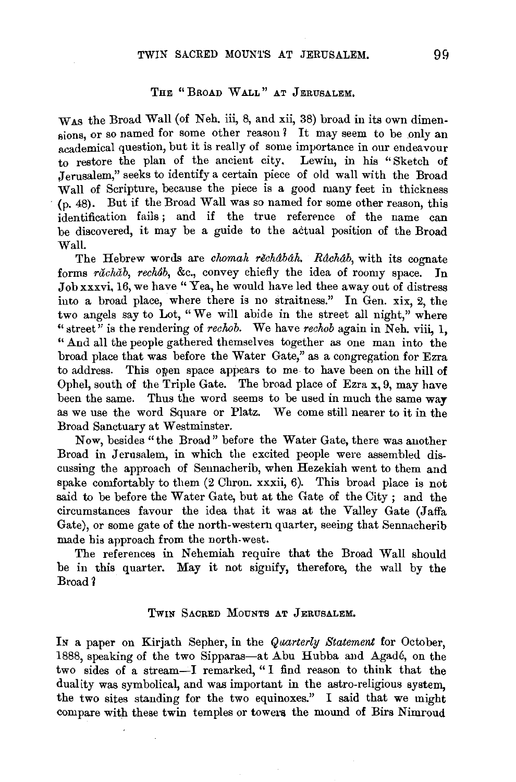## THE "BROAD WALL" AT JERUSALEM.

WAS the Broad Wall (of Neh. iii, 8, and xii, 38) broad in its own dimensions, or so named for some other reason? It may seem to be only an academical question, but it is really of some importance in our endeavour to restore the plan of the ancient city. Lewin, in his "Sketch of Jerusalem," seeks to identify a certain piece of old wall with the Broad Wall of Scripture, because the piece is a good many feet in thickness (p. 48). But if the Broad Wall was so named for some other reason, this identification fails; and if the true reference of the name can be discovered, it may be a guide to the actual position of the Broad Wall.

The Hebrew words are *chomah rechabah. Rachab*, with its cognate forms *răchăb*, *rechâb*, &c., convey chiefly the idea of roomy space. In Job xxxvi, 16, we have "Yea, he would have led thee away out of distress into a broad place, where there is no straitness." In Gen. xix, 2, the two angels say to Lot, "We will abide in the street all night," where " street" is the rendering of *rechob*. We have *rechob* again in Neh. viii, 1, "And all the people gathered themselves together as one man into the broad place that was before the Water Gate," as a congregation for Ezra to address. This open space appears to me to have been on the hill of Ophel, south of the Triple Gate. The broad place of Ezra x, 9, may have been the same. Thus the word seems to be used in much the same way as we use the word Square or Platz. We come still nearer to it in the Broad Sanctuary at Westminster.

Now, besides "the Broad" before the Water Gate, there was another Broad in Jerusalem, in which the excited people were assembled discussing the approach of Seunacherib, when Hezekiah went to them and spake comfortably to them (2 Chron. xxxii, 6). This broad place is not said to be before the Water Gate, but at the Gate of the City ; and the circumstances favour the idea that it was at the Valley Gate (Jaffa Gate), or some gate of the north-western quarter, seeing that Sennacherib made his approach from the north-west.

The references in Nehemiah require that the Broad Wall should be in this quarter. May it not signify, therefore, the wall by the Broad *1* 

#### TWIN SACRED MoUNTS AT JERUSALEM,

In a paper on Kirjath Sepher, in the *Quarterly Statement* for October, 1888, speaking of the two Sipparas-at Abu Hubba and Agadé, on the two sides of a stream-I remarked, "I find reason to think that the duality was symbolical, and was important in the astro-religious system, the two sites standing for the two equinoxes." I said that we might compare with these twin temples or towers the mound of Birs Nimroud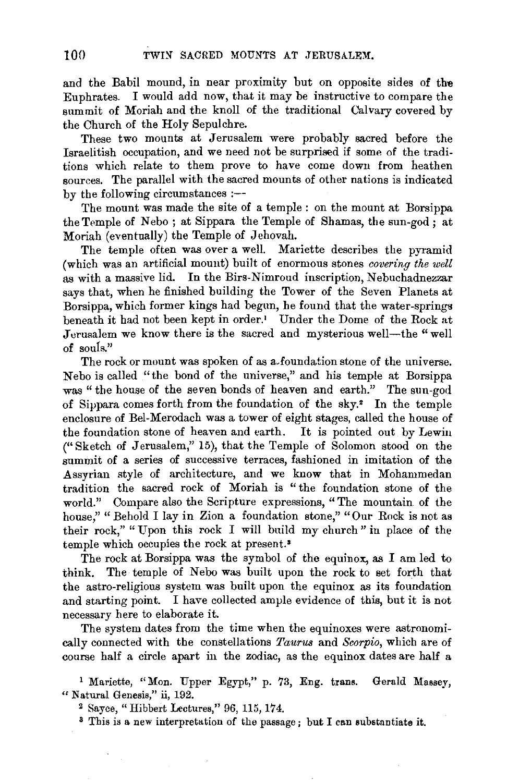and the Babil mound, in near proximity but on opposite sides of the Euphrates. I would add now, that it may be instructive to compare the summit of Moriah and the knoll of the traditional Calvary covered by the Church of the Holy Sepulchre.

These two mounts at Jerusalem were probably sacred before the Israelitish occupation, and we need not be surprised if some of the traditions which relate to them prove to have come down from heathen sources. The parallel with the sacred mounts of other nations is indicated by the following circumstances :--

The mount was made the site of a temple : on the mount at Borsippa the Temple of Nebo; at Sippara the Temple of Shamas, the sun-god; at Moriah (eventually) the Temple of Jehovah.

The temple often was over a well. Mariette describes the pyramid (which was an artificial mount) built of enormous stones *covering the well*  as with a massive lid. In the Birs-Nimroud inscription, Nebuchadnezzar says that, when he finished building the Tower of the Seven Planets at Borsippa, which former kings had begun, he found that the water-springs beneath it had not been kept in order.' Under the Dome of the Rock at Jerusalem we know there is the sacred and mysterious well-the "well" of souls."

The rock or mount was spoken of as a-foundation stone of the universe. Nebo is called "the bond of the universe," and his temple at Borsippa was "the house of the seven bonds of heaven and earth." The sun-god of Sippara comes forth from the foundation of the sky.• In the temple enclosure of Bel-Merodach was a tower of eight stages, called the house of the foundation stone of heaven and earth. It is pointed out by Lewin ("Sketch of Jerusalem," 15), that the Temple of Solomon stood on the summit of a series of successive terraces, fashioned in imitation of the .Assyrian style of architecture, and we know that in Mohammedan tradition the sacred rock of Moriah is "the foundation stone of the world." Compare also the Scripture expressions, "The mountain of the house," " Behold I lay in Zion a foundation stone," "Our Rock is not as their rock," "Upon this rock I will build my church" in place of the temple which occupies the rock at present.<sup>3</sup>

The rock at Borsippa was the symbol of the equinox, as I am led to think. The temple of Nebo was built upon the rock to set forth that the astro-religious system was built upon the equinox as its foundation and starting point. I have collected ample evidence of this, but it is not necessary here to elaborate it.

The system dates from the time when the equinoxes were astronomically connected with the constellations *Taurus* and *Scorpio,* which are of course half a circle apart in the zodiac, as the equinox dates are half a

<sup>1</sup> Mariette, "Mon. Upper Egypt," p. 73, Eng. trans. Gerald Massey, "Natural Genesis,'' ii, 192. 2 Sayee, "Hibbert Lectures," 96, 115, 174. 3 This is a new interpretation of the passage; but I can substnntiate it.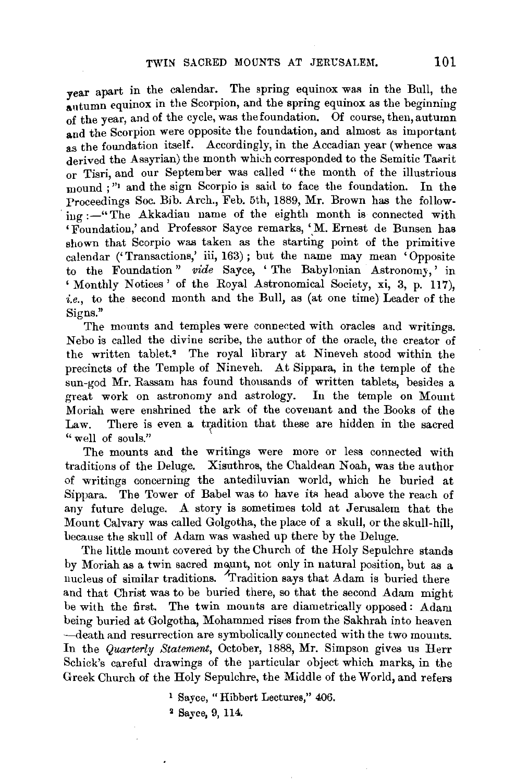vear apart in the calendar. The spring equinox was in the Bull, the autumn equinox in the Scorpion, and the spring equinox as the beginning of the year, and of the cycle, was the foundation. Of course, then, autumn and the Scorpion were opposite the foundation, and almost as important as the foundation itself. Accordingly, in the Accadian year (whence was derived the Assyrian) the month which corresponded to the Semitic Tasrit or Tisri, and our September was called "the month of the illustrious mound ;"' and the sign Scorpio is said to face the foundation. In the Proceedings Soc. Bib. Arch., Feb. 5th, 1889, Mr. Brown has the follow $ing := "The Akkadian name of the eighth month is connected with$ 'Foundation,' and Professor Sayce remarks, 'M. Ernest de Bunsen has shown that Scorpio was taken as the starting point of the primitive calendar ('Transactions,' iii, 163) ; but the name may mean 'Opposite to the Foundation" *vide* Sayee, 'The Babylonian Astronomy,' in ' Monthly Notices ' of the Royal Astronomical Society, xi, 3, p. 117), *i.e.,* to the second month and the Bull, as (at one time) Leader of the Signs."

The mounts and temples were connected with oracles and writings. Nebo is called the divine scribe, the author of the oracle, the creator of the written tablet.• The royal library at Nineveh stood within the precincts of the Temple of Nineveh. At Sippara, in the temple of the sun-god Mr. Rassam has found thousands of written tablets, besides a great work on astronomy and astrology. In the temple on Mount Moriah were enshrined the ark of the covenant and the Books of the Law. There is even a tradition that these are hidden in the sacred " well of souls."

The mounts and the writings were more or less connected with traditions of the Deluge. Xisuthros, the Chaldean Noah, was the author of writings concerning the antediluvian world, which he buried at Sippara. The Tower of Babel was to have its head above the reach of any future deluge. A story is sometimes told at Jerusalem that the Mount Calvary was called Golgotha, the place of a skull, or the skull-hill, because the skull of Adam was washed up there by the Deluge.

The little mount covered. by the Church of the Holy Sepulchre stands by Moriah as a twin sacred mount, not only in natural position, but as a nucleus of similar traditions. Tradition says that Adam is buried there and that Christ was to be buried there, so that the second Adam might be with the first. The twin mounts are diametrically opposed: Adam being buried at Golgotha, Mohammed rises from the Sakhrah into heaven ·-death and resurrection are symbolically connected with the two mounts. In the *Quarterly Statement,* October, 1888, Mr. Simpson gives us Herr Schick's careful drawings of the particular object which marks, in the Greek Church of the Holy Sepulchre, the Middle of theW orld, and refers

<sup>1</sup>Sayee, "Hibbert Lectures," 406.

<sup>&</sup>lt;sup>2</sup> Sayce, 9, 114.